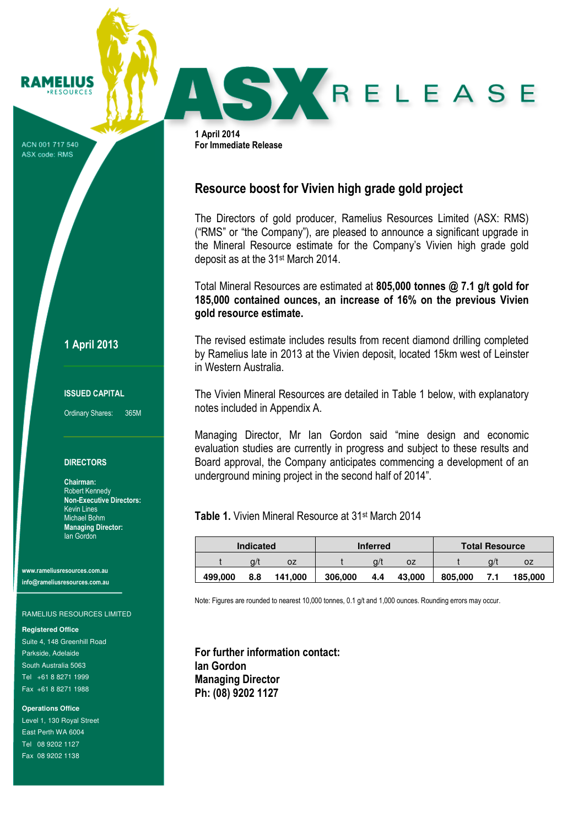ACN 001 717 540 ASX code: RMS

**RAMELIUS RESOURCES** 

1 April 2013

#### ISSUED CAPITAL

Ordinary Shares: 365M

### **DIRECTORS**

Chairman: Robert Kennedy Non-Executive Directors: Kevin Lines Michael Bohm Managing Director: Ian Gordon

www.rameliusresources.com.au info@rameliusresources.com.au

#### RAMELIUS RESOURCES LIMITED

#### **Registered Office**

Suite 4, 148 Greenhill Road Parkside, Adelaide South Australia 5063 Tel +61 8 8271 1999 Fax +61 8 8271 1988

**Operations Office** 

Level 1, 130 Royal Street East Perth WA 6004 Tel 08 9202 1127 Fax 08 9202 1138

1 April 2014 For Immediate Release

# Resource boost for Vivien high grade gold project

The Directors of gold producer, Ramelius Resources Limited (ASX: RMS) ("RMS" or "the Company"), are pleased to announce a significant upgrade in the Mineral Resource estimate for the Company's Vivien high grade gold deposit as at the 31st March 2014.

RELEASE

Total Mineral Resources are estimated at 805,000 tonnes @ 7.1 g/t gold for 185,000 contained ounces, an increase of 16% on the previous Vivien gold resource estimate.

The revised estimate includes results from recent diamond drilling completed by Ramelius late in 2013 at the Vivien deposit, located 15km west of Leinster in Western Australia.

The Vivien Mineral Resources are detailed in Table 1 below, with explanatory notes included in Appendix A.

Managing Director, Mr Ian Gordon said "mine design and economic evaluation studies are currently in progress and subject to these results and Board approval, the Company anticipates commencing a development of an underground mining project in the second half of 2014".

Table 1. Vivien Mineral Resource at 31st March 2014

| <b>Indicated</b> |     |         | <b>Inferred</b> |       |        | <b>Total Resource</b> |     |         |
|------------------|-----|---------|-----------------|-------|--------|-----------------------|-----|---------|
|                  | a/' | ΟZ      |                 | $Q$ / | 0Z     |                       | a/' | oz      |
| 499.000          | 8.8 | 141.000 | 306,000         | 4.4   | 43.000 | 805,000               |     | 185.000 |

Note: Figures are rounded to nearest 10,000 tonnes, 0.1 g/t and 1,000 ounces. Rounding errors may occur.

For further information contact: Ian Gordon Managing Director Ph: (08) 9202 1127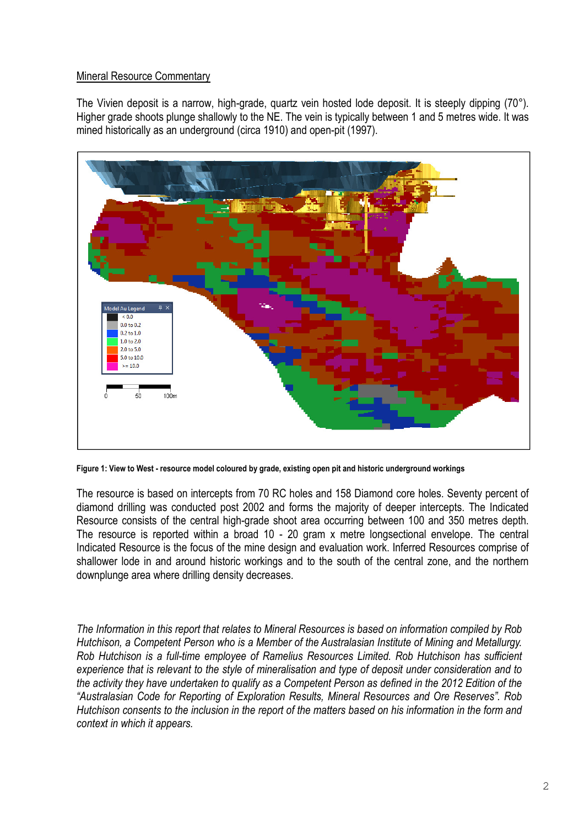# Mineral Resource Commentary

The Vivien deposit is a narrow, high-grade, quartz vein hosted lode deposit. It is steeply dipping (70°). Higher grade shoots plunge shallowly to the NE. The vein is typically between 1 and 5 metres wide. It was mined historically as an underground (circa 1910) and open-pit (1997).



Figure 1: View to West - resource model coloured by grade, existing open pit and historic underground workings

The resource is based on intercepts from 70 RC holes and 158 Diamond core holes. Seventy percent of diamond drilling was conducted post 2002 and forms the majority of deeper intercepts. The Indicated Resource consists of the central high-grade shoot area occurring between 100 and 350 metres depth. The resource is reported within a broad 10 - 20 gram x metre longsectional envelope. The central Indicated Resource is the focus of the mine design and evaluation work. Inferred Resources comprise of shallower lode in and around historic workings and to the south of the central zone, and the northern downplunge area where drilling density decreases.

The Information in this report that relates to Mineral Resources is based on information compiled by Rob Hutchison, a Competent Person who is a Member of the Australasian Institute of Mining and Metallurgy. Rob Hutchison is a full-time employee of Ramelius Resources Limited. Rob Hutchison has sufficient experience that is relevant to the style of mineralisation and type of deposit under consideration and to the activity they have undertaken to qualify as a Competent Person as defined in the 2012 Edition of the "Australasian Code for Reporting of Exploration Results, Mineral Resources and Ore Reserves". Rob Hutchison consents to the inclusion in the report of the matters based on his information in the form and context in which it appears.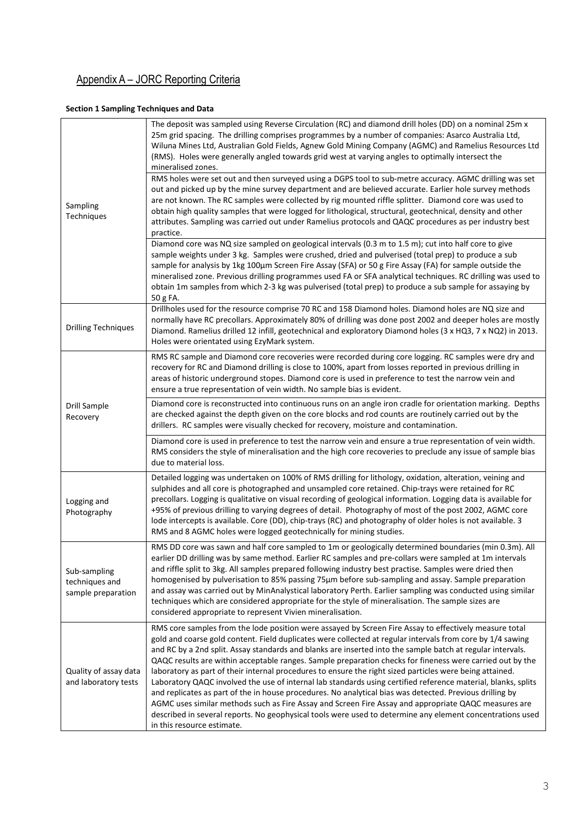# Appendix A – JORC Reporting Criteria

## Section 1 Sampling Techniques and Data

|                                                      | The deposit was sampled using Reverse Circulation (RC) and diamond drill holes (DD) on a nominal 25m x<br>25m grid spacing. The drilling comprises programmes by a number of companies: Asarco Australia Ltd,<br>Wiluna Mines Ltd, Australian Gold Fields, Agnew Gold Mining Company (AGMC) and Ramelius Resources Ltd<br>(RMS). Holes were generally angled towards grid west at varying angles to optimally intersect the<br>mineralised zones.                                                                                                                                                                                                                                                                                                                                                                                                                                                                                                                                                                                           |
|------------------------------------------------------|---------------------------------------------------------------------------------------------------------------------------------------------------------------------------------------------------------------------------------------------------------------------------------------------------------------------------------------------------------------------------------------------------------------------------------------------------------------------------------------------------------------------------------------------------------------------------------------------------------------------------------------------------------------------------------------------------------------------------------------------------------------------------------------------------------------------------------------------------------------------------------------------------------------------------------------------------------------------------------------------------------------------------------------------|
|                                                      | RMS holes were set out and then surveyed using a DGPS tool to sub-metre accuracy. AGMC drilling was set<br>out and picked up by the mine survey department and are believed accurate. Earlier hole survey methods                                                                                                                                                                                                                                                                                                                                                                                                                                                                                                                                                                                                                                                                                                                                                                                                                           |
| Sampling<br>Techniques                               | are not known. The RC samples were collected by rig mounted riffle splitter. Diamond core was used to<br>obtain high quality samples that were logged for lithological, structural, geotechnical, density and other<br>attributes. Sampling was carried out under Ramelius protocols and QAQC procedures as per industry best<br>practice.                                                                                                                                                                                                                                                                                                                                                                                                                                                                                                                                                                                                                                                                                                  |
|                                                      | Diamond core was NQ size sampled on geological intervals (0.3 m to 1.5 m); cut into half core to give                                                                                                                                                                                                                                                                                                                                                                                                                                                                                                                                                                                                                                                                                                                                                                                                                                                                                                                                       |
|                                                      | sample weights under 3 kg. Samples were crushed, dried and pulverised (total prep) to produce a sub<br>sample for analysis by 1kg 100µm Screen Fire Assay (SFA) or 50 g Fire Assay (FA) for sample outside the<br>mineralised zone. Previous drilling programmes used FA or SFA analytical techniques. RC drilling was used to<br>obtain 1m samples from which 2-3 kg was pulverised (total prep) to produce a sub sample for assaying by<br>50 g FA.                                                                                                                                                                                                                                                                                                                                                                                                                                                                                                                                                                                       |
|                                                      | Drillholes used for the resource comprise 70 RC and 158 Diamond holes. Diamond holes are NQ size and                                                                                                                                                                                                                                                                                                                                                                                                                                                                                                                                                                                                                                                                                                                                                                                                                                                                                                                                        |
| <b>Drilling Techniques</b>                           | normally have RC precollars. Approximately 80% of drilling was done post 2002 and deeper holes are mostly<br>Diamond. Ramelius drilled 12 infill, geotechnical and exploratory Diamond holes (3 x HQ3, 7 x NQ2) in 2013.<br>Holes were orientated using EzyMark system.                                                                                                                                                                                                                                                                                                                                                                                                                                                                                                                                                                                                                                                                                                                                                                     |
|                                                      | RMS RC sample and Diamond core recoveries were recorded during core logging. RC samples were dry and                                                                                                                                                                                                                                                                                                                                                                                                                                                                                                                                                                                                                                                                                                                                                                                                                                                                                                                                        |
|                                                      | recovery for RC and Diamond drilling is close to 100%, apart from losses reported in previous drilling in<br>areas of historic underground stopes. Diamond core is used in preference to test the narrow vein and<br>ensure a true representation of vein width. No sample bias is evident.                                                                                                                                                                                                                                                                                                                                                                                                                                                                                                                                                                                                                                                                                                                                                 |
| Drill Sample<br>Recovery                             | Diamond core is reconstructed into continuous runs on an angle iron cradle for orientation marking. Depths<br>are checked against the depth given on the core blocks and rod counts are routinely carried out by the<br>drillers. RC samples were visually checked for recovery, moisture and contamination.                                                                                                                                                                                                                                                                                                                                                                                                                                                                                                                                                                                                                                                                                                                                |
|                                                      | Diamond core is used in preference to test the narrow vein and ensure a true representation of vein width.<br>RMS considers the style of mineralisation and the high core recoveries to preclude any issue of sample bias<br>due to material loss.                                                                                                                                                                                                                                                                                                                                                                                                                                                                                                                                                                                                                                                                                                                                                                                          |
| Logging and<br>Photography                           | Detailed logging was undertaken on 100% of RMS drilling for lithology, oxidation, alteration, veining and<br>sulphides and all core is photographed and unsampled core retained. Chip-trays were retained for RC<br>precollars. Logging is qualitative on visual recording of geological information. Logging data is available for<br>+95% of previous drilling to varying degrees of detail. Photography of most of the post 2002, AGMC core<br>lode intercepts is available. Core (DD), chip-trays (RC) and photography of older holes is not available. 3<br>RMS and 8 AGMC holes were logged geotechnically for mining studies.                                                                                                                                                                                                                                                                                                                                                                                                        |
| Sub-sampling<br>techniques and<br>sample preparation | RMS DD core was sawn and half core sampled to 1m or geologically determined boundaries (min 0.3m). All<br>earlier DD drilling was by same method. Earlier RC samples and pre-collars were sampled at 1m intervals<br>and riffle split to 3kg. All samples prepared following industry best practise. Samples were dried then<br>homogenised by pulverisation to 85% passing 75µm before sub-sampling and assay. Sample preparation<br>and assay was carried out by MinAnalystical laboratory Perth. Earlier sampling was conducted using similar<br>techniques which are considered appropriate for the style of mineralisation. The sample sizes are<br>considered appropriate to represent Vivien mineralisation.                                                                                                                                                                                                                                                                                                                         |
| Quality of assay data<br>and laboratory tests        | RMS core samples from the lode position were assayed by Screen Fire Assay to effectively measure total<br>gold and coarse gold content. Field duplicates were collected at regular intervals from core by 1/4 sawing<br>and RC by a 2nd split. Assay standards and blanks are inserted into the sample batch at regular intervals.<br>QAQC results are within acceptable ranges. Sample preparation checks for fineness were carried out by the<br>laboratory as part of their internal procedures to ensure the right sized particles were being attained.<br>Laboratory QAQC involved the use of internal lab standards using certified reference material, blanks, splits<br>and replicates as part of the in house procedures. No analytical bias was detected. Previous drilling by<br>AGMC uses similar methods such as Fire Assay and Screen Fire Assay and appropriate QAQC measures are<br>described in several reports. No geophysical tools were used to determine any element concentrations used<br>in this resource estimate. |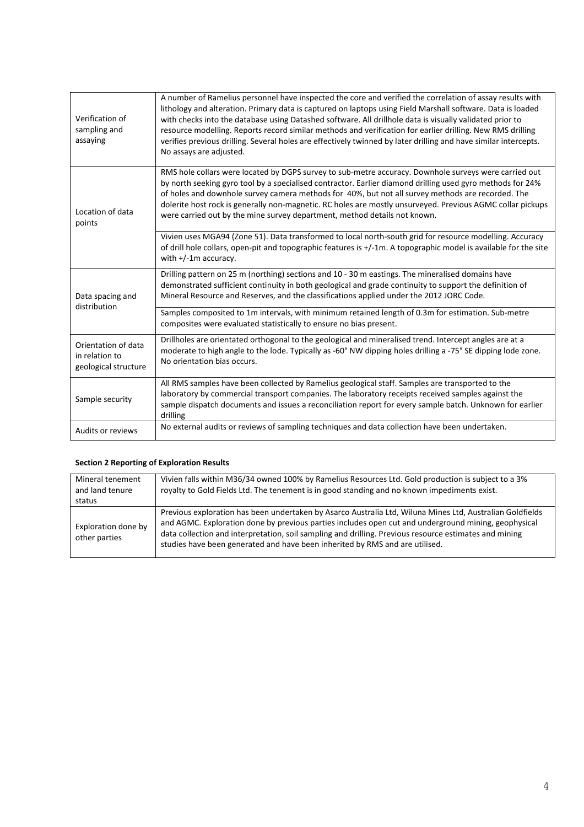| Verification of<br>sampling and<br>assaying                   | A number of Ramelius personnel have inspected the core and verified the correlation of assay results with<br>lithology and alteration. Primary data is captured on laptops using Field Marshall software. Data is loaded<br>with checks into the database using Datashed software. All drillhole data is visually validated prior to<br>resource modelling. Reports record similar methods and verification for earlier drilling. New RMS drilling<br>verifies previous drilling. Several holes are effectively twinned by later drilling and have similar intercepts.<br>No assays are adjusted. |
|---------------------------------------------------------------|---------------------------------------------------------------------------------------------------------------------------------------------------------------------------------------------------------------------------------------------------------------------------------------------------------------------------------------------------------------------------------------------------------------------------------------------------------------------------------------------------------------------------------------------------------------------------------------------------|
| Location of data<br>points                                    | RMS hole collars were located by DGPS survey to sub-metre accuracy. Downhole surveys were carried out<br>by north seeking gyro tool by a specialised contractor. Earlier diamond drilling used gyro methods for 24%<br>of holes and downhole survey camera methods for 40%, but not all survey methods are recorded. The<br>dolerite host rock is generally non-magnetic. RC holes are mostly unsurveyed. Previous AGMC collar pickups<br>were carried out by the mine survey department, method details not known.                                                                               |
|                                                               | Vivien uses MGA94 (Zone 51). Data transformed to local north-south grid for resource modelling. Accuracy<br>of drill hole collars, open-pit and topographic features is +/-1m. A topographic model is available for the site<br>with $+/-1$ m accuracy.                                                                                                                                                                                                                                                                                                                                           |
| Data spacing and<br>distribution                              | Drilling pattern on 25 m (northing) sections and 10 - 30 m eastings. The mineralised domains have<br>demonstrated sufficient continuity in both geological and grade continuity to support the definition of<br>Mineral Resource and Reserves, and the classifications applied under the 2012 JORC Code.                                                                                                                                                                                                                                                                                          |
|                                                               | Samples composited to 1m intervals, with minimum retained length of 0.3m for estimation. Sub-metre<br>composites were evaluated statistically to ensure no bias present.                                                                                                                                                                                                                                                                                                                                                                                                                          |
| Orientation of data<br>in relation to<br>geological structure | Drillholes are orientated orthogonal to the geological and mineralised trend. Intercept angles are at a<br>moderate to high angle to the lode. Typically as -60° NW dipping holes drilling a -75° SE dipping lode zone.<br>No orientation bias occurs.                                                                                                                                                                                                                                                                                                                                            |
| Sample security                                               | All RMS samples have been collected by Ramelius geological staff. Samples are transported to the<br>laboratory by commercial transport companies. The laboratory receipts received samples against the<br>sample dispatch documents and issues a reconciliation report for every sample batch. Unknown for earlier<br>drilling                                                                                                                                                                                                                                                                    |
| Audits or reviews                                             | No external audits or reviews of sampling techniques and data collection have been undertaken.                                                                                                                                                                                                                                                                                                                                                                                                                                                                                                    |

## Section 2 Reporting of Exploration Results

| Mineral tenement<br>and land tenure<br>status | Vivien falls within M36/34 owned 100% by Ramelius Resources Ltd. Gold production is subject to a 3%<br>royalty to Gold Fields Ltd. The tenement is in good standing and no known impediments exist.                                                                                                                                                                                                         |
|-----------------------------------------------|-------------------------------------------------------------------------------------------------------------------------------------------------------------------------------------------------------------------------------------------------------------------------------------------------------------------------------------------------------------------------------------------------------------|
|                                               |                                                                                                                                                                                                                                                                                                                                                                                                             |
| Exploration done by<br>other parties          | Previous exploration has been undertaken by Asarco Australia Ltd, Wiluna Mines Ltd, Australian Goldfields<br>and AGMC. Exploration done by previous parties includes open cut and underground mining, geophysical<br>data collection and interpretation, soil sampling and drilling. Previous resource estimates and mining<br>studies have been generated and have been inherited by RMS and are utilised. |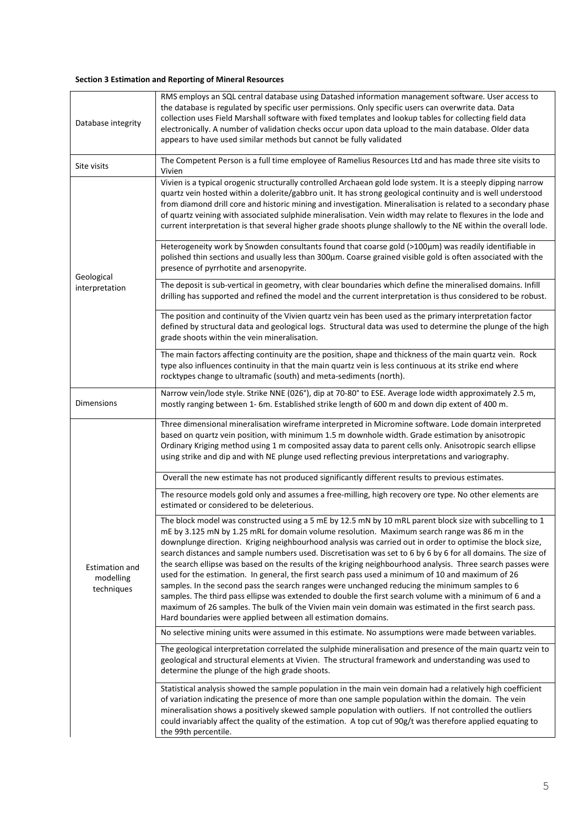### Section 3 Estimation and Reporting of Mineral Resources

| Database integrity                        | RMS employs an SQL central database using Datashed information management software. User access to<br>the database is regulated by specific user permissions. Only specific users can overwrite data. Data<br>collection uses Field Marshall software with fixed templates and lookup tables for collecting field data<br>electronically. A number of validation checks occur upon data upload to the main database. Older data<br>appears to have used similar methods but cannot be fully validated                                                                                                                                                                                                                                                                                                                                                                                                                                                                                                                                              |
|-------------------------------------------|----------------------------------------------------------------------------------------------------------------------------------------------------------------------------------------------------------------------------------------------------------------------------------------------------------------------------------------------------------------------------------------------------------------------------------------------------------------------------------------------------------------------------------------------------------------------------------------------------------------------------------------------------------------------------------------------------------------------------------------------------------------------------------------------------------------------------------------------------------------------------------------------------------------------------------------------------------------------------------------------------------------------------------------------------|
| Site visits                               | The Competent Person is a full time employee of Ramelius Resources Ltd and has made three site visits to<br>Vivien                                                                                                                                                                                                                                                                                                                                                                                                                                                                                                                                                                                                                                                                                                                                                                                                                                                                                                                                 |
| Geological<br>interpretation              | Vivien is a typical orogenic structurally controlled Archaean gold lode system. It is a steeply dipping narrow<br>quartz vein hosted within a dolerite/gabbro unit. It has strong geological continuity and is well understood<br>from diamond drill core and historic mining and investigation. Mineralisation is related to a secondary phase<br>of quartz veining with associated sulphide mineralisation. Vein width may relate to flexures in the lode and<br>current interpretation is that several higher grade shoots plunge shallowly to the NE within the overall lode.                                                                                                                                                                                                                                                                                                                                                                                                                                                                  |
|                                           | Heterogeneity work by Snowden consultants found that coarse gold (>100µm) was readily identifiable in<br>polished thin sections and usually less than 300µm. Coarse grained visible gold is often associated with the<br>presence of pyrrhotite and arsenopyrite.                                                                                                                                                                                                                                                                                                                                                                                                                                                                                                                                                                                                                                                                                                                                                                                  |
|                                           | The deposit is sub-vertical in geometry, with clear boundaries which define the mineralised domains. Infill<br>drilling has supported and refined the model and the current interpretation is thus considered to be robust.                                                                                                                                                                                                                                                                                                                                                                                                                                                                                                                                                                                                                                                                                                                                                                                                                        |
|                                           | The position and continuity of the Vivien quartz vein has been used as the primary interpretation factor<br>defined by structural data and geological logs. Structural data was used to determine the plunge of the high<br>grade shoots within the vein mineralisation.                                                                                                                                                                                                                                                                                                                                                                                                                                                                                                                                                                                                                                                                                                                                                                           |
|                                           | The main factors affecting continuity are the position, shape and thickness of the main quartz vein. Rock<br>type also influences continuity in that the main quartz vein is less continuous at its strike end where<br>rocktypes change to ultramafic (south) and meta-sediments (north).                                                                                                                                                                                                                                                                                                                                                                                                                                                                                                                                                                                                                                                                                                                                                         |
| <b>Dimensions</b>                         | Narrow vein/lode style. Strike NNE (026°), dip at 70-80° to ESE. Average lode width approximately 2.5 m,<br>mostly ranging between 1-6m. Established strike length of 600 m and down dip extent of 400 m.                                                                                                                                                                                                                                                                                                                                                                                                                                                                                                                                                                                                                                                                                                                                                                                                                                          |
|                                           | Three dimensional mineralisation wireframe interpreted in Micromine software. Lode domain interpreted<br>based on quartz vein position, with minimum 1.5 m downhole width. Grade estimation by anisotropic<br>Ordinary Kriging method using 1 m composited assay data to parent cells only. Anisotropic search ellipse<br>using strike and dip and with NE plunge used reflecting previous interpretations and variography.                                                                                                                                                                                                                                                                                                                                                                                                                                                                                                                                                                                                                        |
|                                           | Overall the new estimate has not produced significantly different results to previous estimates.                                                                                                                                                                                                                                                                                                                                                                                                                                                                                                                                                                                                                                                                                                                                                                                                                                                                                                                                                   |
|                                           | The resource models gold only and assumes a free-milling, high recovery ore type. No other elements are<br>estimated or considered to be deleterious.                                                                                                                                                                                                                                                                                                                                                                                                                                                                                                                                                                                                                                                                                                                                                                                                                                                                                              |
| Estimation and<br>modelling<br>techniques | The block model was constructed using a 5 mE by 12.5 mN by 10 mRL parent block size with subcelling to 1<br>mE by 3.125 mN by 1.25 mRL for domain volume resolution. Maximum search range was 86 m in the<br>downplunge direction. Kriging neighbourhood analysis was carried out in order to optimise the block size,<br>search distances and sample numbers used. Discretisation was set to 6 by 6 by 6 for all domains. The size of<br>the search ellipse was based on the results of the kriging neighbourhood analysis. Three search passes were<br>used for the estimation. In general, the first search pass used a minimum of 10 and maximum of 26<br>samples. In the second pass the search ranges were unchanged reducing the minimum samples to 6<br>samples. The third pass ellipse was extended to double the first search volume with a minimum of 6 and a<br>maximum of 26 samples. The bulk of the Vivien main vein domain was estimated in the first search pass.<br>Hard boundaries were applied between all estimation domains. |
|                                           | No selective mining units were assumed in this estimate. No assumptions were made between variables.                                                                                                                                                                                                                                                                                                                                                                                                                                                                                                                                                                                                                                                                                                                                                                                                                                                                                                                                               |
|                                           | The geological interpretation correlated the sulphide mineralisation and presence of the main quartz vein to<br>geological and structural elements at Vivien. The structural framework and understanding was used to<br>determine the plunge of the high grade shoots.                                                                                                                                                                                                                                                                                                                                                                                                                                                                                                                                                                                                                                                                                                                                                                             |
|                                           | Statistical analysis showed the sample population in the main vein domain had a relatively high coefficient<br>of variation indicating the presence of more than one sample population within the domain. The vein<br>mineralisation shows a positively skewed sample population with outliers. If not controlled the outliers<br>could invariably affect the quality of the estimation. A top cut of 90g/t was therefore applied equating to<br>the 99th percentile.                                                                                                                                                                                                                                                                                                                                                                                                                                                                                                                                                                              |